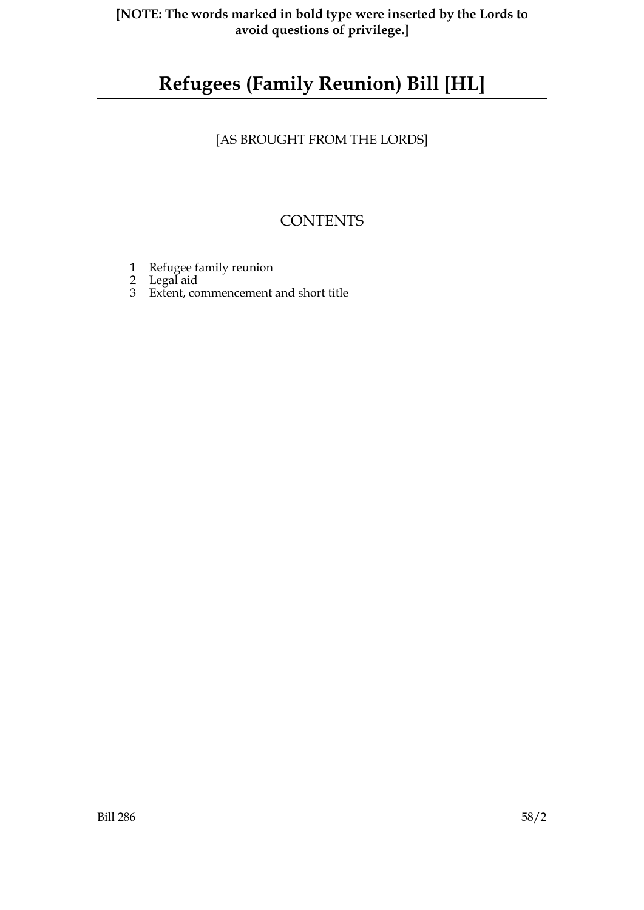# **Refugees (Family Reunion) Bill [HL]**

[AS BROUGHT FROM THE LORDS]

## **CONTENTS**

- 1 Refugee family reunion
- 2 Legal aid
- 3 Extent, commencement and short title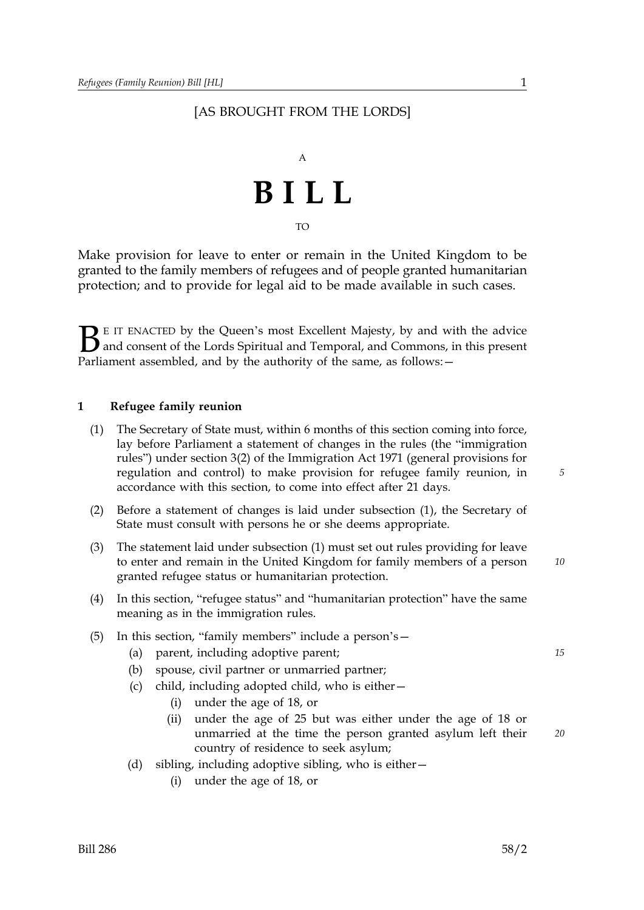#### [AS BROUGHT FROM THE LORDS]



TO

Make provision for leave to enter or remain in the United Kingdom to be granted to the family members of refugees and of people granted humanitarian protection; and to provide for legal aid to be made available in such cases.

**B** E IT ENACTED by the Queen's most Excellent Majesty, by and wirdly and consent of the Lords Spiritual and Temporal, and Commons, in Parliament assembled, and by the authority of the same, as follows:  $-$ E IT ENACTED by the Queen's most Excellent Majesty, by and with the advice and consent of the Lords Spiritual and Temporal, and Commons, in this present

#### **1 Refugee family reunion**

- (1) The Secretary of State must, within 6 months of this section coming into force, lay before Parliament a statement of changes in the rules (the "immigration rules") under section 3(2) of the Immigration Act 1971 (general provisions for regulation and control) to make provision for refugee family reunion, in accordance with this section, to come into effect after 21 days.
- (2) Before a statement of changes is laid under subsection (1), the Secretary of State must consult with persons he or she deems appropriate.
- (3) *10* The statement laid under subsection (1) must set out rules providing for leave to enter and remain in the United Kingdom for family members of a person granted refugee status or humanitarian protection.
- (4) In this section, "refugee status" and "humanitarian protection" have the same meaning as in the immigration rules.
- (5) In this section, "family members" include a person's—
	- (a) parent, including adoptive parent; *15*
	- (b) spouse, civil partner or unmarried partner;
	- (c) child, including adopted child, who is either—
		- (i) under the age of 18, or
		- (ii) under the age of 25 but was either under the age of 18 or unmarried at the time the person granted asylum left their country of residence to seek asylum;
	- (d) sibling, including adoptive sibling, who is either—
		- (i) under the age of 18, or

*5*

*20*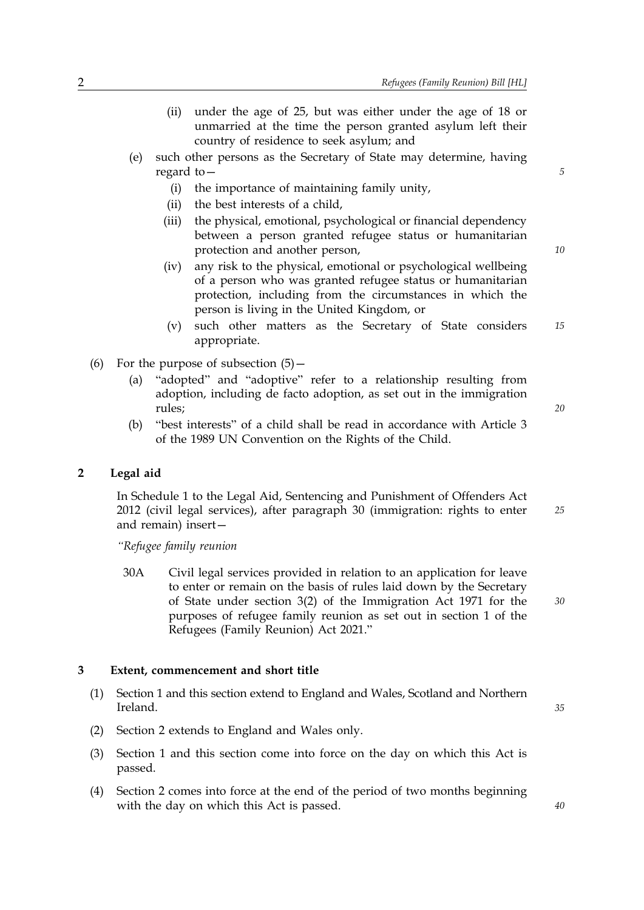- (ii) under the age of 25, but was either under the age of 18 or unmarried at the time the person granted asylum left their country of residence to seek asylum; and
- (e) such other persons as the Secretary of State may determine, having regard to—
	- (i) the importance of maintaining family unity,
	- (ii) the best interests of a child,
	- (iii) the physical, emotional, psychological or financial dependency between a person granted refugee status or humanitarian protection and another person,
	- (iv) any risk to the physical, emotional or psychological wellbeing of a person who was granted refugee status or humanitarian protection, including from the circumstances in which the person is living in the United Kingdom, or
	- (v) such other matters as the Secretary of State considers *15* appropriate.
- (6) For the purpose of subsection  $(5)$ 
	- (a) "adopted" and "adoptive" refer to a relationship resulting from adoption, including de facto adoption, as set out in the immigration rules;
	- (b) "best interests" of a child shall be read in accordance with Article 3 of the 1989 UN Convention on the Rights of the Child.

#### **2 Legal aid**

*25* In Schedule 1 to the Legal Aid, Sentencing and Punishment of Offenders Act 2012 (civil legal services), after paragraph 30 (immigration: rights to enter and remain) insert—

*"Refugee family reunion* 

30A Civil legal services provided in relation to an application for leave to enter or remain on the basis of rules laid down by the Secretary of State under section 3(2) of the Immigration Act 1971 for the purposes of refugee family reunion as set out in section 1 of the Refugees (Family Reunion) Act 2021."

#### **3 Extent, commencement and short title**

- (1) Section 1 and this section extend to England and Wales, Scotland and Northern Ireland.
- (2) Section 2 extends to England and Wales only.
- (3) Section 1 and this section come into force on the day on which this Act is passed.
- (4) Section 2 comes into force at the end of the period of two months beginning with the day on which this Act is passed.

*10*

*5*

*20*

*40*

*35*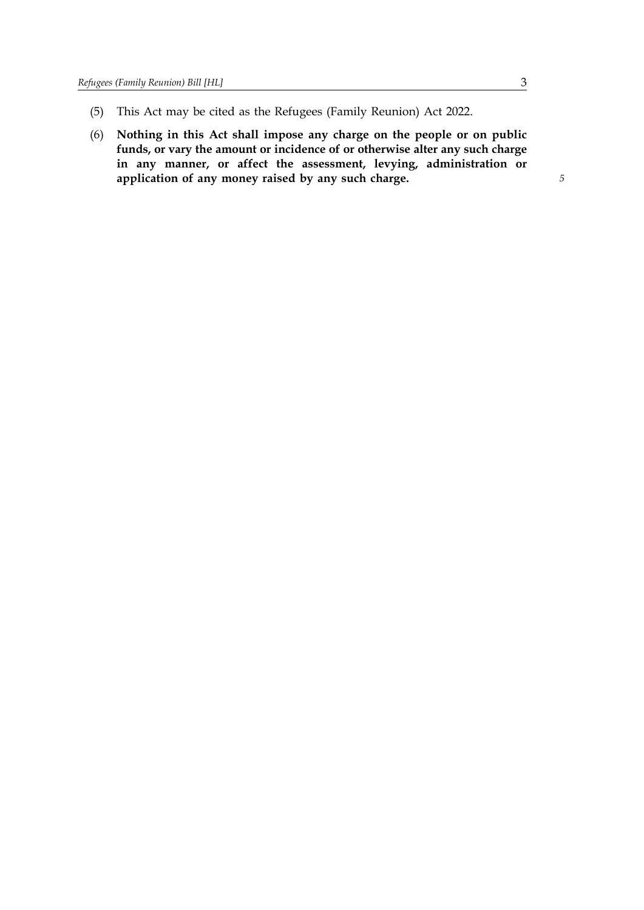- (5) This Act may be cited as the Refugees (Family Reunion) Act 2022.
- (6) **Nothing in this Act shall impose any charge on the people or on public funds, or vary the amount or incidence of or otherwise alter any such charge in any manner, or affect the assessment, levying, administration or application of any money raised by any such charge.**

*5*